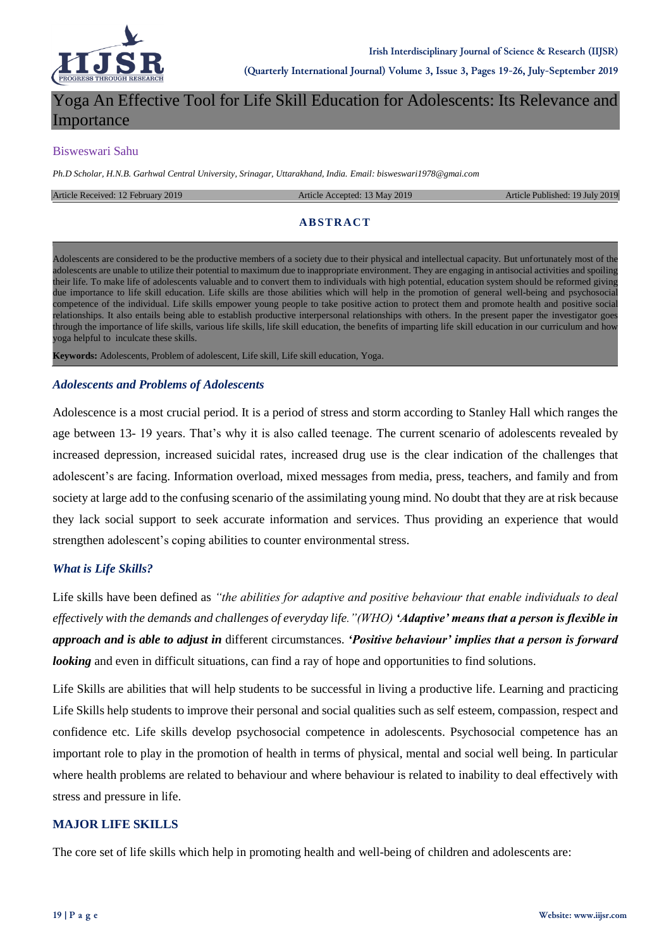

# Yoga An Effective Tool for Life Skill Education for Adolescents: Its Relevance and Importance

#### Bisweswari Sahu

*Ph.D Scholar, H.N.B. Garhwal Central University, Srinagar, Uttarakhand, India. Email: bisweswari1978@gmai.com*

#### Article Received: 12 February 2019 **Article Accepted: 13 May 2019** Article Published: 19 July 2019

### **ABSTRACT**

Adolescents are considered to be the productive members of a society due to their physical and intellectual capacity. But unfortunately most of the adolescents are unable to utilize their potential to maximum due to inappropriate environment. They are engaging in antisocial activities and spoiling their life. To make life of adolescents valuable and to convert them to individuals with high potential, education system should be reformed giving due importance to life skill education. Life skills are those abilities which will help in the promotion of general well-being and psychosocial competence of the individual. Life skills empower young people to take positive action to protect them and promote health and positive social relationships. It also entails being able to establish productive interpersonal relationships with others. In the present paper the investigator goes through the importance of life skills, various life skills, life skill education, the benefits of imparting life skill education in our curriculum and how yoga helpful to inculcate these skills.

**Keywords:** Adolescents, Problem of adolescent, Life skill, Life skill education, Yoga.

#### *Adolescents and Problems of Adolescents*

Adolescence is a most crucial period. It is a period of stress and storm according to Stanley Hall which ranges the age between 13- 19 years. That's why it is also called teenage. The current scenario of adolescents revealed by increased depression, increased suicidal rates, increased drug use is the clear indication of the challenges that adolescent's are facing. Information overload, mixed messages from media, press, teachers, and family and from society at large add to the confusing scenario of the assimilating young mind. No doubt that they are at risk because they lack social support to seek accurate information and services. Thus providing an experience that would strengthen adolescent's coping abilities to counter environmental stress.

### *What is Life Skills?*

Life skills have been defined as *"the abilities for adaptive and positive behaviour that enable individuals to deal effectively with the demands and challenges of everyday life."(WHO) 'Adaptive' means that a person is flexible in approach and is able to adjust in* different circumstances. *'Positive behaviour' implies that a person is forward looking* and even in difficult situations, can find a ray of hope and opportunities to find solutions.

Life Skills are abilities that will help students to be successful in living a productive life. Learning and practicing Life Skills help students to improve their personal and social qualities such as self esteem, compassion, respect and confidence etc. Life skills develop psychosocial competence in adolescents. Psychosocial competence has an important role to play in the promotion of health in terms of physical, mental and social well being. In particular where health problems are related to behaviour and where behaviour is related to inability to deal effectively with stress and pressure in life.

#### **MAJOR LIFE SKILLS**

The core set of life skills which help in promoting health and well-being of children and adolescents are: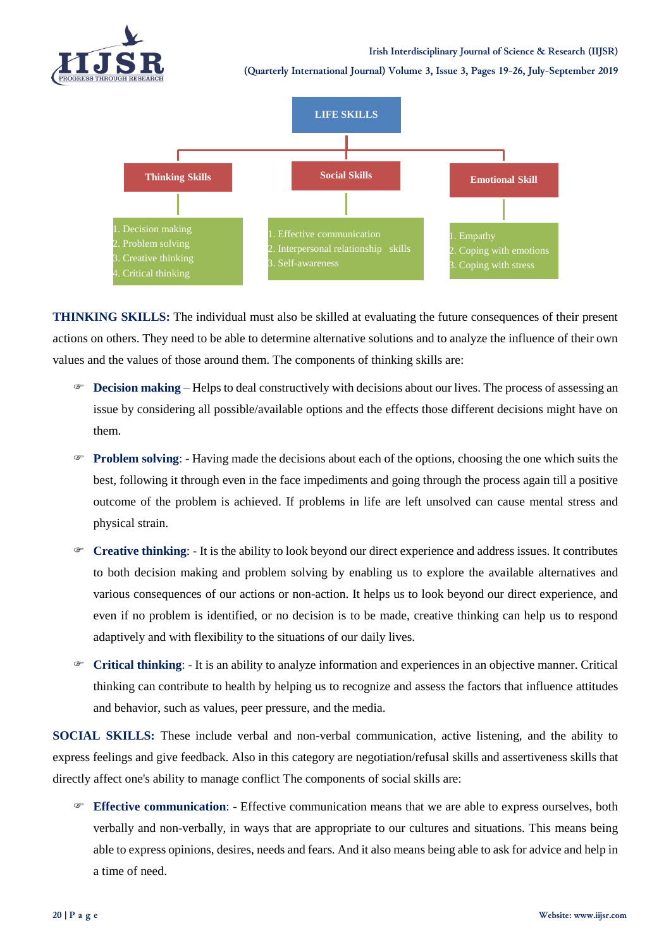

**(Quarterly International Journal) Volume 3, Issue 3, Pages 19-26, July-September 2019**



**THINKING SKILLS:** The individual must also be skilled at evaluating the future consequences of their present actions on others. They need to be able to determine alternative solutions and to analyze the influence of their own values and the values of those around them. The components of thinking skills are:

- **Decision making**  Helps to deal constructively with decisions about our lives. The process of assessing an issue by considering all possible/available options and the effects those different decisions might have on them.
- **Problem solving**: Having made the decisions about each of the options, choosing the one which suits the best, following it through even in the face impediments and going through the process again till a positive outcome of the problem is achieved. If problems in life are left unsolved can cause mental stress and physical strain.
- **Creative thinking**: It is the ability to look beyond our direct experience and address issues. It contributes to both decision making and problem solving by enabling us to explore the available alternatives and various consequences of our actions or non-action. It helps us to look beyond our direct experience, and even if no problem is identified, or no decision is to be made, creative thinking can help us to respond adaptively and with flexibility to the situations of our daily lives.
- **Critical thinking**: It is an ability to analyze information and experiences in an objective manner. Critical thinking can contribute to health by helping us to recognize and assess the factors that influence attitudes and behavior, such as values, peer pressure, and the media.

**SOCIAL SKILLS:** These include verbal and non-verbal communication, active listening, and the ability to express feelings and give feedback. Also in this category are negotiation/refusal skills and assertiveness skills that directly affect one's ability to manage conflict The components of social skills are:

 **Effective communication**: - Effective communication means that we are able to express ourselves, both verbally and non-verbally, in ways that are appropriate to our cultures and situations. This means being able to express opinions, desires, needs and fears. And it also means being able to ask for advice and help in a time of need.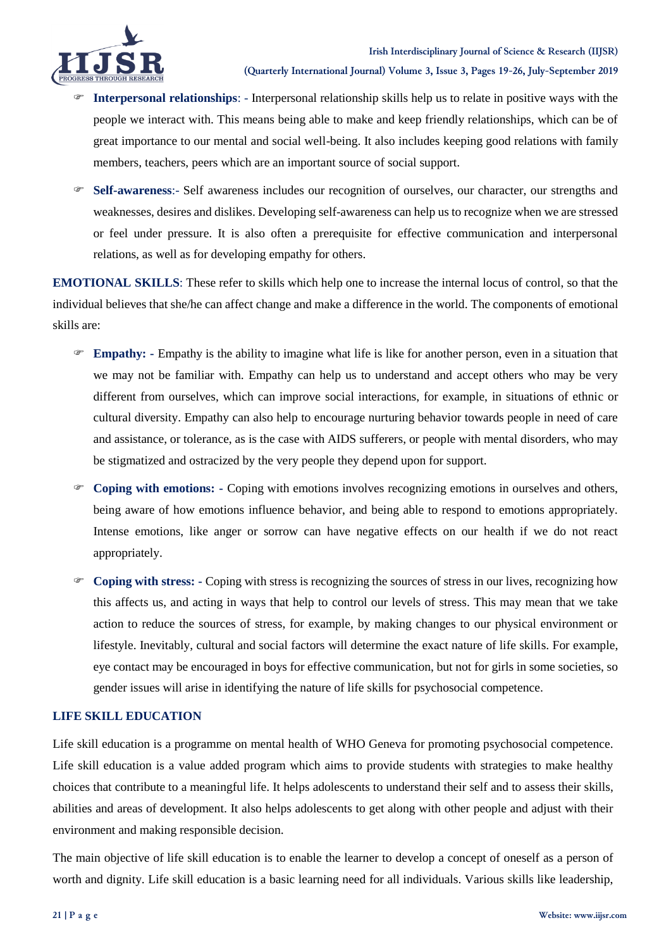

- **Interpersonal relationships**: Interpersonal relationship skills help us to relate in positive ways with the people we interact with. This means being able to make and keep friendly relationships, which can be of great importance to our mental and social well-being. It also includes keeping good relations with family members, teachers, peers which are an important source of social support.
- **Self-awareness**:- Self awareness includes our recognition of ourselves, our character, our strengths and weaknesses, desires and dislikes. Developing self-awareness can help us to recognize when we are stressed or feel under pressure. It is also often a prerequisite for effective communication and interpersonal relations, as well as for developing empathy for others.

**EMOTIONAL SKILLS**: These refer to skills which help one to increase the internal locus of control, so that the individual believes that she/he can affect change and make a difference in the world. The components of emotional skills are:

- **Empathy: -** Empathy is the ability to imagine what life is like for another person, even in a situation that we may not be familiar with. Empathy can help us to understand and accept others who may be very different from ourselves, which can improve social interactions, for example, in situations of ethnic or cultural diversity. Empathy can also help to encourage nurturing behavior towards people in need of care and assistance, or tolerance, as is the case with AIDS sufferers, or people with mental disorders, who may be stigmatized and ostracized by the very people they depend upon for support.
- **Coping with emotions: -** Coping with emotions involves recognizing emotions in ourselves and others, being aware of how emotions influence behavior, and being able to respond to emotions appropriately. Intense emotions, like anger or sorrow can have negative effects on our health if we do not react appropriately.
- **Coping with stress: -** Coping with stress is recognizing the sources of stress in our lives, recognizing how this affects us, and acting in ways that help to control our levels of stress. This may mean that we take action to reduce the sources of stress, for example, by making changes to our physical environment or lifestyle. Inevitably, cultural and social factors will determine the exact nature of life skills. For example, eye contact may be encouraged in boys for effective communication, but not for girls in some societies, so gender issues will arise in identifying the nature of life skills for psychosocial competence.

# **LIFE SKILL EDUCATION**

Life skill education is a programme on mental health of WHO Geneva for promoting psychosocial competence. Life skill education is a value added program which aims to provide students with strategies to make healthy choices that contribute to a meaningful life. It helps adolescents to understand their self and to assess their skills, abilities and areas of development. It also helps adolescents to get along with other people and adjust with their environment and making responsible decision.

The main objective of life skill education is to enable the learner to develop a concept of oneself as a person of worth and dignity. Life skill education is a basic learning need for all individuals. Various skills like leadership,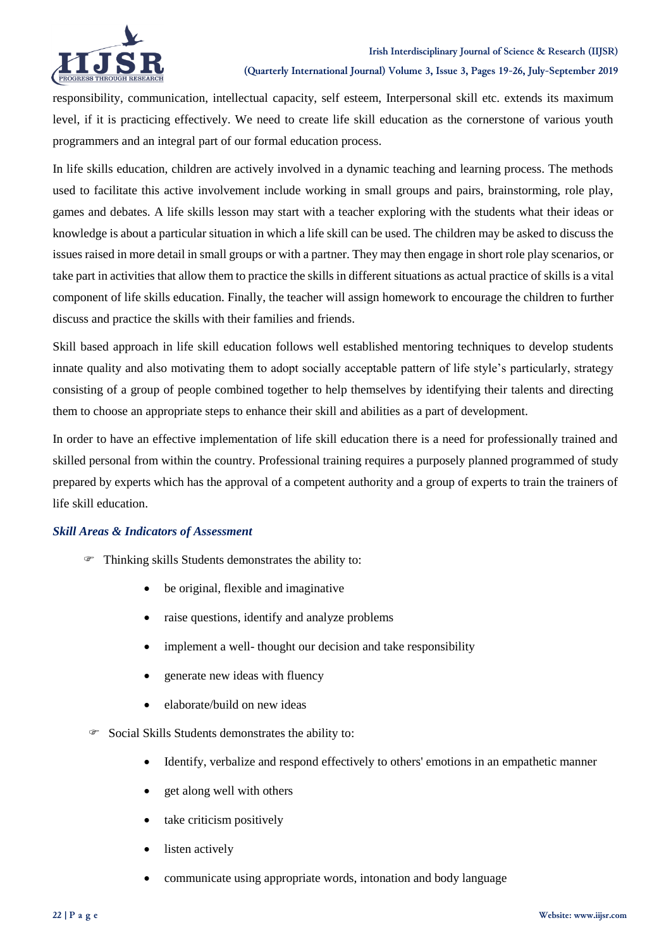



**(Quarterly International Journal) Volume 3, Issue 3, Pages 19-26, July-September 2019**

responsibility, communication, intellectual capacity, self esteem, Interpersonal skill etc. extends its maximum level, if it is practicing effectively. We need to create life skill education as the cornerstone of various youth programmers and an integral part of our formal education process.

In life skills education, children are actively involved in a dynamic teaching and learning process. The methods used to facilitate this active involvement include working in small groups and pairs, brainstorming, role play, games and debates. A life skills lesson may start with a teacher exploring with the students what their ideas or knowledge is about a particular situation in which a life skill can be used. The children may be asked to discuss the issues raised in more detail in small groups or with a partner. They may then engage in short role play scenarios, or take part in activities that allow them to practice the skills in different situations as actual practice of skills is a vital component of life skills education. Finally, the teacher will assign homework to encourage the children to further discuss and practice the skills with their families and friends.

Skill based approach in life skill education follows well established mentoring techniques to develop students innate quality and also motivating them to adopt socially acceptable pattern of life style's particularly, strategy consisting of a group of people combined together to help themselves by identifying their talents and directing them to choose an appropriate steps to enhance their skill and abilities as a part of development.

In order to have an effective implementation of life skill education there is a need for professionally trained and skilled personal from within the country. Professional training requires a purposely planned programmed of study prepared by experts which has the approval of a competent authority and a group of experts to train the trainers of life skill education.

### *Skill Areas & Indicators of Assessment*

- Thinking skills Students demonstrates the ability to:
	- be original, flexible and imaginative
	- raise questions, identify and analyze problems
	- implement a well- thought our decision and take responsibility
	- generate new ideas with fluency
	- elaborate/build on new ideas
- Social Skills Students demonstrates the ability to:
	- Identify, verbalize and respond effectively to others' emotions in an empathetic manner
	- get along well with others
	- take criticism positively
	- listen actively
	- communicate using appropriate words, intonation and body language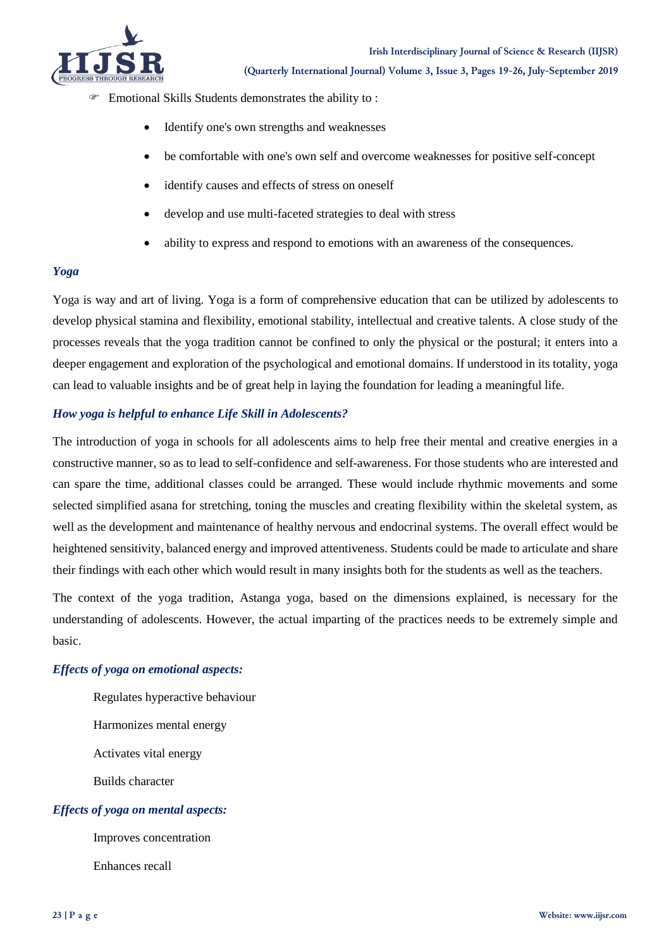

- Emotional Skills Students demonstrates the ability to :
	- Identify one's own strengths and weaknesses
	- be comfortable with one's own self and overcome weaknesses for positive self-concept
	- identify causes and effects of stress on oneself
	- develop and use multi-faceted strategies to deal with stress
	- ability to express and respond to emotions with an awareness of the consequences.

### *Yoga*

Yoga is way and art of living. Yoga is a form of comprehensive education that can be utilized by adolescents to develop physical stamina and flexibility, emotional stability, intellectual and creative talents. A close study of the processes reveals that the yoga tradition cannot be confined to only the physical or the postural; it enters into a deeper engagement and exploration of the psychological and emotional domains. If understood in its totality, yoga can lead to valuable insights and be of great help in laying the foundation for leading a meaningful life.

### *How yoga is helpful to enhance Life Skill in Adolescents?*

The introduction of yoga in schools for all adolescents aims to help free their mental and creative energies in a constructive manner, so as to lead to self-confidence and self-awareness. For those students who are interested and can spare the time, additional classes could be arranged. These would include rhythmic movements and some selected simplified asana for stretching, toning the muscles and creating flexibility within the skeletal system, as well as the development and maintenance of healthy nervous and endocrinal systems. The overall effect would be heightened sensitivity, balanced energy and improved attentiveness. Students could be made to articulate and share their findings with each other which would result in many insights both for the students as well as the teachers.

The context of the yoga tradition, Astanga yoga, based on the dimensions explained, is necessary for the understanding of adolescents. However, the actual imparting of the practices needs to be extremely simple and basic.

### *Effects of yoga on emotional aspects:*

Regulates hyperactive behaviour Harmonizes mental energy Activates vital energy Builds character *Effects of yoga on mental aspects:*

Improves concentration

Enhances recall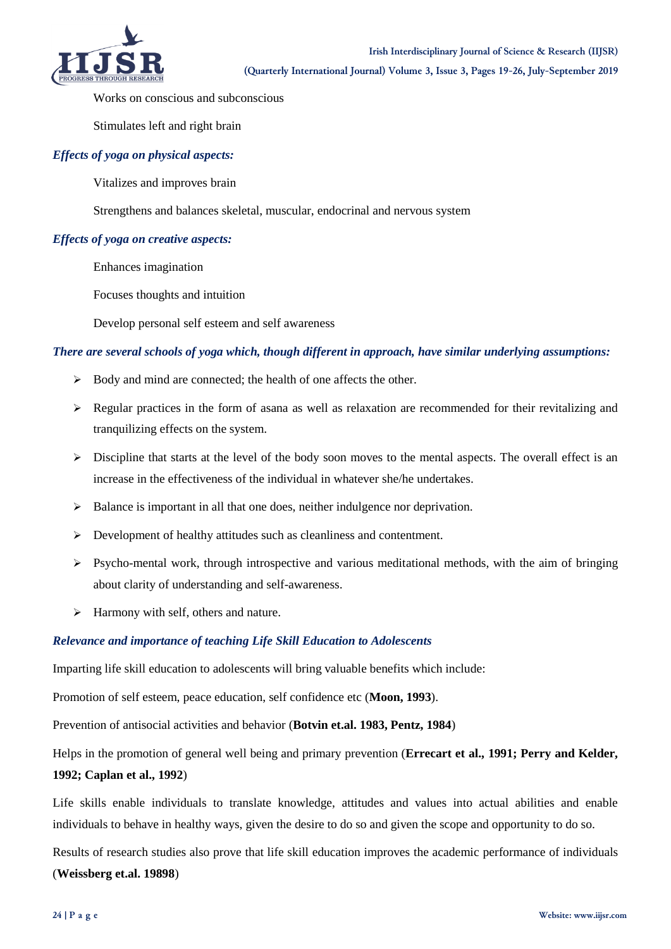

Works on conscious and subconscious

Stimulates left and right brain

# *Effects of yoga on physical aspects:*

Vitalizes and improves brain

Strengthens and balances skeletal, muscular, endocrinal and nervous system

# *Effects of yoga on creative aspects:*

Enhances imagination

Focuses thoughts and intuition

Develop personal self esteem and self awareness

# *There are several schools of yoga which, though different in approach, have similar underlying assumptions:*

- $\triangleright$  Body and mind are connected; the health of one affects the other.
- $\triangleright$  Regular practices in the form of asana as well as relaxation are recommended for their revitalizing and tranquilizing effects on the system.
- $\triangleright$  Discipline that starts at the level of the body soon moves to the mental aspects. The overall effect is an increase in the effectiveness of the individual in whatever she/he undertakes.
- $\triangleright$  Balance is important in all that one does, neither indulgence nor deprivation.
- Development of healthy attitudes such as cleanliness and contentment.
- $\triangleright$  Psycho-mental work, through introspective and various meditational methods, with the aim of bringing about clarity of understanding and self-awareness.
- $\triangleright$  Harmony with self, others and nature.

### *Relevance and importance of teaching Life Skill Education to Adolescents*

Imparting life skill education to adolescents will bring valuable benefits which include:

Promotion of self esteem, peace education, self confidence etc (**Moon, 1993**).

Prevention of antisocial activities and behavior (**Botvin et.al. 1983, Pentz, 1984**)

Helps in the promotion of general well being and primary prevention (**Errecart et al., 1991; Perry and Kelder, 1992; Caplan et al., 1992**)

Life skills enable individuals to translate knowledge, attitudes and values into actual abilities and enable individuals to behave in healthy ways, given the desire to do so and given the scope and opportunity to do so.

Results of research studies also prove that life skill education improves the academic performance of individuals (**Weissberg et.al. 19898**)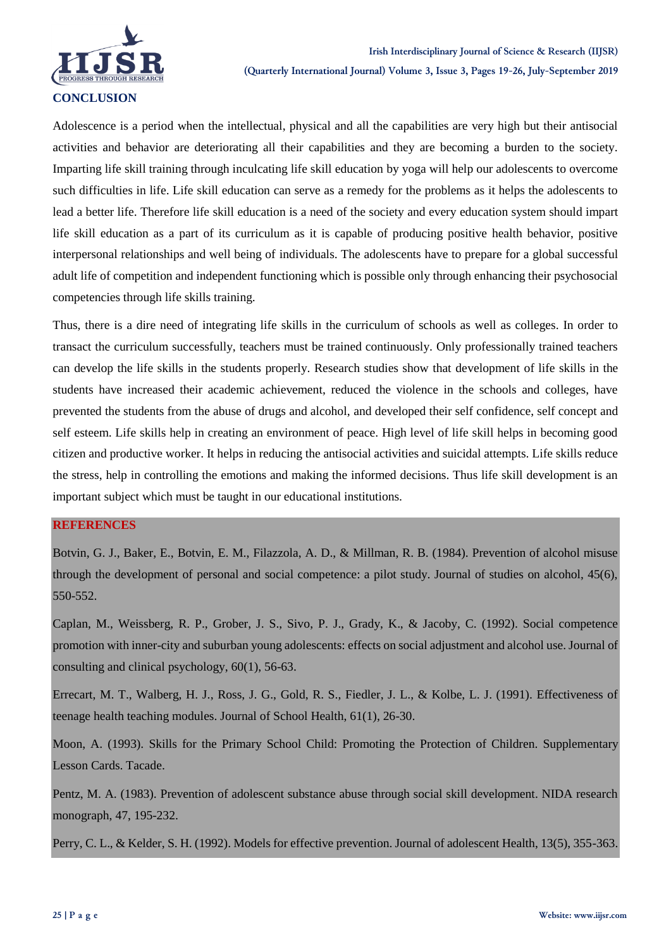

Adolescence is a period when the intellectual, physical and all the capabilities are very high but their antisocial activities and behavior are deteriorating all their capabilities and they are becoming a burden to the society. Imparting life skill training through inculcating life skill education by yoga will help our adolescents to overcome such difficulties in life. Life skill education can serve as a remedy for the problems as it helps the adolescents to lead a better life. Therefore life skill education is a need of the society and every education system should impart life skill education as a part of its curriculum as it is capable of producing positive health behavior, positive interpersonal relationships and well being of individuals. The adolescents have to prepare for a global successful adult life of competition and independent functioning which is possible only through enhancing their psychosocial competencies through life skills training.

Thus, there is a dire need of integrating life skills in the curriculum of schools as well as colleges. In order to transact the curriculum successfully, teachers must be trained continuously. Only professionally trained teachers can develop the life skills in the students properly. Research studies show that development of life skills in the students have increased their academic achievement, reduced the violence in the schools and colleges, have prevented the students from the abuse of drugs and alcohol, and developed their self confidence, self concept and self esteem. Life skills help in creating an environment of peace. High level of life skill helps in becoming good citizen and productive worker. It helps in reducing the antisocial activities and suicidal attempts. Life skills reduce the stress, help in controlling the emotions and making the informed decisions. Thus life skill development is an important subject which must be taught in our educational institutions.

# **REFERENCES**

Botvin, G. J., Baker, E., Botvin, E. M., Filazzola, A. D., & Millman, R. B. (1984). Prevention of alcohol misuse through the development of personal and social competence: a pilot study. Journal of studies on alcohol, 45(6), 550-552.

Caplan, M., Weissberg, R. P., Grober, J. S., Sivo, P. J., Grady, K., & Jacoby, C. (1992). Social competence promotion with inner-city and suburban young adolescents: effects on social adjustment and alcohol use. Journal of consulting and clinical psychology, 60(1), 56-63.

Errecart, M. T., Walberg, H. J., Ross, J. G., Gold, R. S., Fiedler, J. L., & Kolbe, L. J. (1991). Effectiveness of teenage health teaching modules. Journal of School Health, 61(1), 26-30.

Moon, A. (1993). Skills for the Primary School Child: Promoting the Protection of Children. Supplementary Lesson Cards. Tacade.

Pentz, M. A. (1983). Prevention of adolescent substance abuse through social skill development. NIDA research monograph, 47, 195-232.

Perry, C. L., & Kelder, S. H. (1992). Models for effective prevention. Journal of adolescent Health, 13(5), 355-363.